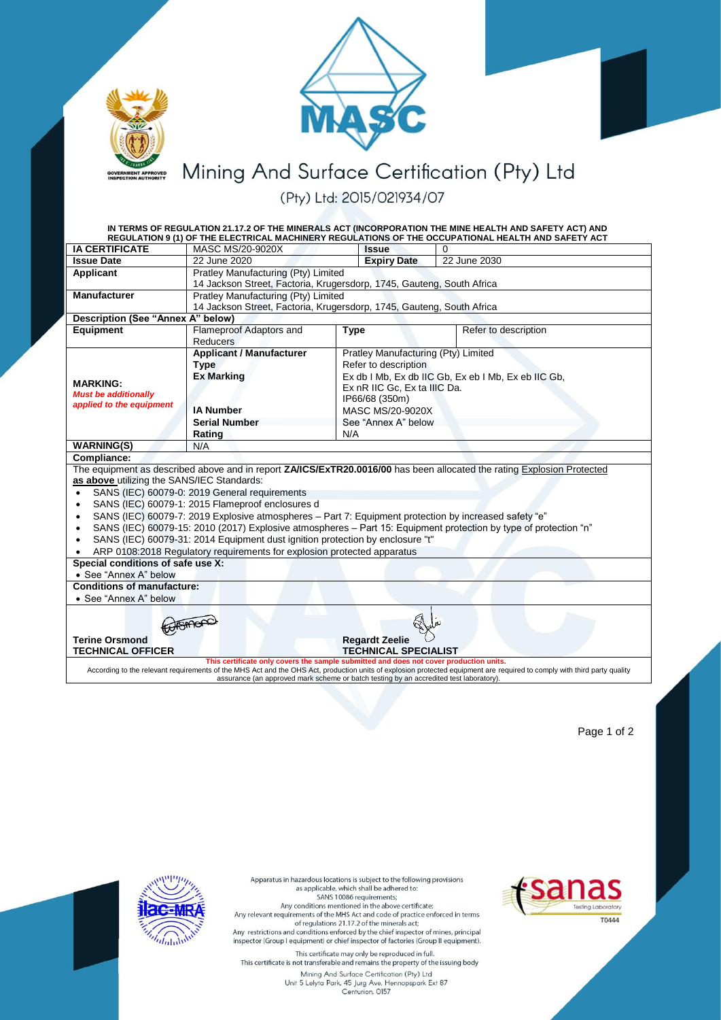



Mining And Surface Certification (Pty) Ltd

(Pty) Ltd: 2015/021934/07

|                                                                                                                                                                                                                                                                                                                                                              |                                                                       |                                                     | IN TERMS OF REGULATION 21.17.2 OF THE MINERALS ACT (INCORPORATION THE MINE HEALTH AND SAFETY ACT) AND<br>REGULATION 9 (1) OF THE ELECTRICAL MACHINERY REGULATIONS OF THE OCCUPATIONAL HEALTH AND SAFETY ACT |  |  |
|--------------------------------------------------------------------------------------------------------------------------------------------------------------------------------------------------------------------------------------------------------------------------------------------------------------------------------------------------------------|-----------------------------------------------------------------------|-----------------------------------------------------|-------------------------------------------------------------------------------------------------------------------------------------------------------------------------------------------------------------|--|--|
| <b>IA CERTIFICATE</b>                                                                                                                                                                                                                                                                                                                                        | MASC MS/20-9020X                                                      | <b>Issue</b>                                        | 0                                                                                                                                                                                                           |  |  |
| <b>Issue Date</b>                                                                                                                                                                                                                                                                                                                                            | 22 June 2020                                                          | <b>Expiry Date</b>                                  | 22 June 2030                                                                                                                                                                                                |  |  |
| Applicant                                                                                                                                                                                                                                                                                                                                                    | Pratley Manufacturing (Pty) Limited                                   |                                                     |                                                                                                                                                                                                             |  |  |
|                                                                                                                                                                                                                                                                                                                                                              | 14 Jackson Street, Factoria, Krugersdorp, 1745, Gauteng, South Africa |                                                     |                                                                                                                                                                                                             |  |  |
| <b>Manufacturer</b>                                                                                                                                                                                                                                                                                                                                          | Pratley Manufacturing (Pty) Limited                                   |                                                     |                                                                                                                                                                                                             |  |  |
|                                                                                                                                                                                                                                                                                                                                                              | 14 Jackson Street, Factoria, Krugersdorp, 1745, Gauteng, South Africa |                                                     |                                                                                                                                                                                                             |  |  |
| <b>Description (See "Annex A" below)</b>                                                                                                                                                                                                                                                                                                                     |                                                                       |                                                     |                                                                                                                                                                                                             |  |  |
| Equipment                                                                                                                                                                                                                                                                                                                                                    | Flameproof Adaptors and<br><b>Reducers</b>                            | <b>Type</b>                                         | Refer to description                                                                                                                                                                                        |  |  |
|                                                                                                                                                                                                                                                                                                                                                              | <b>Applicant / Manufacturer</b>                                       | Pratley Manufacturing (Pty) Limited                 |                                                                                                                                                                                                             |  |  |
|                                                                                                                                                                                                                                                                                                                                                              | <b>Type</b>                                                           | Refer to description                                |                                                                                                                                                                                                             |  |  |
|                                                                                                                                                                                                                                                                                                                                                              | <b>Ex Marking</b>                                                     | Ex db I Mb, Ex db IIC Gb, Ex eb I Mb, Ex eb IIC Gb, |                                                                                                                                                                                                             |  |  |
| <b>MARKING:</b>                                                                                                                                                                                                                                                                                                                                              |                                                                       | Ex nR IIC Gc, Ex ta IIIC Da.                        |                                                                                                                                                                                                             |  |  |
| <b>Must be additionally</b><br>applied to the equipment                                                                                                                                                                                                                                                                                                      |                                                                       | IP66/68 (350m)                                      |                                                                                                                                                                                                             |  |  |
|                                                                                                                                                                                                                                                                                                                                                              | <b>IA Number</b>                                                      | <b>MASC MS/20-9020X</b>                             |                                                                                                                                                                                                             |  |  |
|                                                                                                                                                                                                                                                                                                                                                              | <b>Serial Number</b>                                                  | See "Annex A" below                                 |                                                                                                                                                                                                             |  |  |
|                                                                                                                                                                                                                                                                                                                                                              | Rating                                                                | N/A                                                 |                                                                                                                                                                                                             |  |  |
| <b>WARNING(S)</b>                                                                                                                                                                                                                                                                                                                                            | N/A                                                                   |                                                     |                                                                                                                                                                                                             |  |  |
| Compliance:                                                                                                                                                                                                                                                                                                                                                  |                                                                       |                                                     |                                                                                                                                                                                                             |  |  |
|                                                                                                                                                                                                                                                                                                                                                              |                                                                       |                                                     | The equipment as described above and in report ZAICS/ExTR20.0016/00 has been allocated the rating Explosion Protected                                                                                       |  |  |
| as above utilizing the SANS/IEC Standards:                                                                                                                                                                                                                                                                                                                   |                                                                       |                                                     |                                                                                                                                                                                                             |  |  |
| SANS (IEC) 60079-0: 2019 General requirements<br>$\bullet$                                                                                                                                                                                                                                                                                                   |                                                                       |                                                     |                                                                                                                                                                                                             |  |  |
| SANS (IEC) 60079-1: 2015 Flameproof enclosures d<br>$\bullet$                                                                                                                                                                                                                                                                                                |                                                                       |                                                     |                                                                                                                                                                                                             |  |  |
| SANS (IEC) 60079-7: 2019 Explosive atmospheres - Part 7: Equipment protection by increased safety "e"<br>$\bullet$                                                                                                                                                                                                                                           |                                                                       |                                                     |                                                                                                                                                                                                             |  |  |
| SANS (IEC) 60079-15: 2010 (2017) Explosive atmospheres - Part 15: Equipment protection by type of protection "n"<br>$\bullet$                                                                                                                                                                                                                                |                                                                       |                                                     |                                                                                                                                                                                                             |  |  |
| SANS (IEC) 60079-31: 2014 Equipment dust ignition protection by enclosure "t"<br>$\bullet$                                                                                                                                                                                                                                                                   |                                                                       |                                                     |                                                                                                                                                                                                             |  |  |
| ARP 0108:2018 Regulatory requirements for explosion protected apparatus<br>$\bullet$                                                                                                                                                                                                                                                                         |                                                                       |                                                     |                                                                                                                                                                                                             |  |  |
| Special conditions of safe use X:<br>• See "Annex A" below                                                                                                                                                                                                                                                                                                   |                                                                       |                                                     |                                                                                                                                                                                                             |  |  |
| <b>Conditions of manufacture:</b>                                                                                                                                                                                                                                                                                                                            |                                                                       |                                                     |                                                                                                                                                                                                             |  |  |
| • See "Annex A" below                                                                                                                                                                                                                                                                                                                                        |                                                                       |                                                     |                                                                                                                                                                                                             |  |  |
|                                                                                                                                                                                                                                                                                                                                                              |                                                                       |                                                     |                                                                                                                                                                                                             |  |  |
|                                                                                                                                                                                                                                                                                                                                                              |                                                                       |                                                     |                                                                                                                                                                                                             |  |  |
| <b>Terine Orsmond</b><br><b>Regardt Zeelie</b>                                                                                                                                                                                                                                                                                                               |                                                                       |                                                     |                                                                                                                                                                                                             |  |  |
| <b>TECHNICAL OFFICER</b><br><b>TECHNICAL SPECIALIST</b>                                                                                                                                                                                                                                                                                                      |                                                                       |                                                     |                                                                                                                                                                                                             |  |  |
| This certificate only covers the sample submitted and does not cover production units.<br>According to the relevant requirements of the MHS Act and the OHS Act, production units of explosion protected equipment are required to comply with third party quality<br>assurance (an approved mark scheme or batch testing by an accredited test laboratory). |                                                                       |                                                     |                                                                                                                                                                                                             |  |  |
|                                                                                                                                                                                                                                                                                                                                                              |                                                                       |                                                     |                                                                                                                                                                                                             |  |  |

Page 1 of 2





Mining And Surface Certification (Pry) Ltd<br>Mining And Surface Certification (Pry) Ltd<br>Unit 5 Lelyta Park, 45 Jurg Ave, Hennopspark Ext 87<br>Centurion, 0157